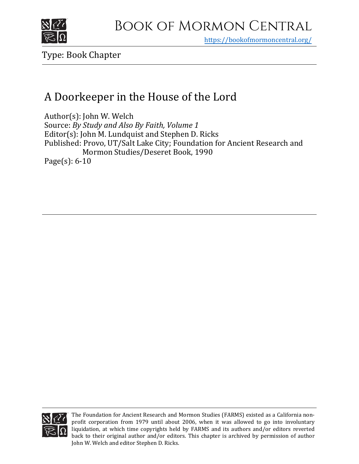

https[://bookofmormoncentral.org/](https://bookofmormoncentral.org/)

Type: Book Chapter

## A Doorkeeper in the House of the Lord

Author(s): John W. Welch Source: *By Study and Also By Faith, Volume 1* Editor(s): John M. Lundquist and Stephen D. Ricks Published: Provo, UT/Salt Lake City; Foundation for Ancient Research and Mormon Studies/Deseret Book, 1990 Page(s): 6-10



The Foundation for Ancient Research and Mormon Studies (FARMS) existed as a California nonprofit corporation from 1979 until about 2006, when it was allowed to go into involuntary liquidation, at which time copyrights held by FARMS and its authors and/or editors reverted back to their original author and/or editors. This chapter is archived by permission of author John W. Welch and editor Stephen D. Ricks.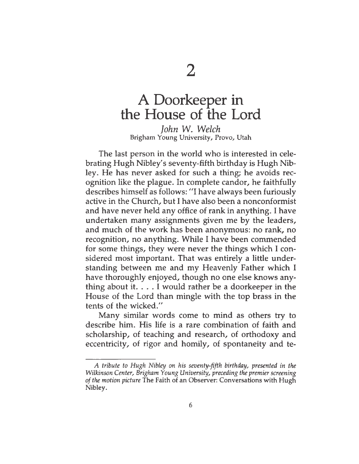## A Doorkeeper in the House of the Lord

*John W. Welch* Brigham Young University, Provo, Utah

The last person in the world who is interested in celebrating Hugh Nibley's seventy-fifth birthday is Hugh Nibley. He has never asked for such a thing; he avoids recognition like the plague. In complete candor, he faithfully describes himself as follows: "I have always been furiously active in the Church, but I have also been a nonconformist and have never held any office of rank in anything. I have undertaken many assignments given me by the leaders, and much of the work has been anonymous: no rank, no recognition, no anything. While I have been commended for some things, they were never the things which I considered most important. That was entirely a little understanding between me and my Heavenly Father which I have thoroughly enjoyed, though no one else knows anything about it.  $\dots$  I would rather be a doorkeeper in the House of the Lord than mingle with the top brass in the tents of the wicked."

Many similar words come to mind as others try to describe him. His life is a rare combination of faith and scholarship, of teaching and research, of orthodoxy and eccentricity, of rigor and homily, of spontaneity and te-

*A tribute to Hugh Nibley on his seventy-fifth birthday, presented in the Wilkinson Center, Brigham Young University, preceding the premier screening ofthe motion picture* The Faith of an Observer: Conversations with Hugh Nibley.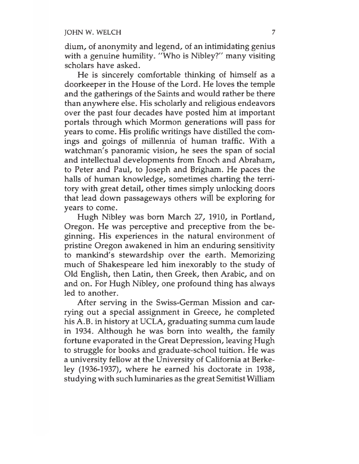dium, of anonymity and legend, of an intimidating genius with <sup>a</sup> genuine humility. "Who is Nibley?" many visiting scholars have asked.

He is sincerely comfortable thinking of himself as a doorkeeper in the House of the Lord. He loves the temple and the gatherings of the Saints and would rather be there than anywhere else. His scholarly and religious endeavors over the past four decades have posted him at important portals through which Mormon generations will pass for years to come. His prolific writings have distilled the comings and goings of millennia of human traffic. With a watchman's panoramic vision, he sees the span of social and intellectual developments from Enoch and Abraham, to Peter and Paul, to Joseph and Brigham. He paces the halls of human knowledge, sometimes charting the territory with great detail, other times simply unlocking doors that lead down passageways others will be exploring for years to come.

Hugh Nibley was born March 27, 1910, in Portland, Oregon. He was perceptive and preceptive from the beginning. His experiences in the natural environment of pristine Oregon awakened in him an enduring sensitivity to mankind's stewardship over the earth. Memorizing much of Shakespeare led him inexorably to the study of Old English, then Latin, then Greek, then Arabic, and on and on. For Hugh Nibley, one profound thing has always led to another.

After serving in the Swiss-German Mission and carrying out a special assignment in Greece, he completed his A.B. in history at UCLA, graduating summa cum laude in 1934. Although he was born into wealth, the family fortune evaporated in the Great Depression, leaving Hugh to struggle for books and graduate-school tuition. He was a university fellow at the University of California at Berkeley (1936-1937), where he earned his doctorate in 1938, studying with such luminaries as the great Semitist William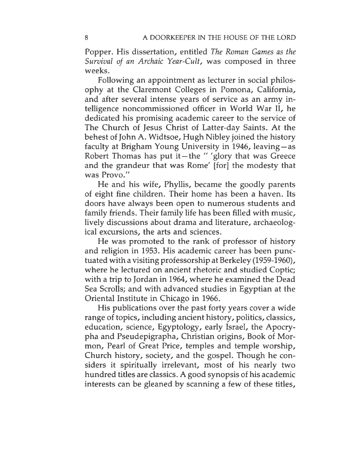Popper. His dissertation, entitled *The Roman Games as the Survival of an Archaic Tear-Cult,* was composed in three weeks.

Following an appointment as lecturer in social philosophy at the Claremont Colleges in Pomona, California, and after several intense years of service as an army intelligence noncommissioned officer in World War II, he dedicated his promising academic career to the service of The Church of Jesus Christ of Latter-day Saints. At the behest of John A. Widtsoe, Hugh Nibley joined the history faculty at Brigham Young University in 1946, leaving— as Robert Thomas has put it-the " 'glory that was Greece and the grandeur that was Rome' [for] the modesty that was Provo."

He and his wife, Phyllis, became the goodly parents of eight fine children. Their home has been a haven. Its doors have always been open to numerous students and family friends. Their family life has been filled with music, lively discussions about drama and literature, archaeological excursions, the arts and sciences.

He was promoted to the rank of professor of history and religion in 1953. His academic career has been punctuated with a visiting professorship at Berkeley (1959-1960), where he lectured on ancient rhetoric and studied Coptic; with a trip to Jordan in 1964, where he examined the Dead Sea Scrolls; and with advanced studies in Egyptian at the Oriental Institute in Chicago in 1966.

His publications over the past forty years cover a wide range of topics, including ancient history, politics, classics, education, science, Egyptology, early Israel, the Apocrypha and Pseudepigrapha, Christian origins, Book of Mormon, Pearl of Great Price, temples and temple worship, Church history, society, and the gospel. Though he considers it spiritually irrelevant, most of his nearly two hundred titles are classics. A good synopsis of his academic interests can be gleaned by scanning a few of these titles,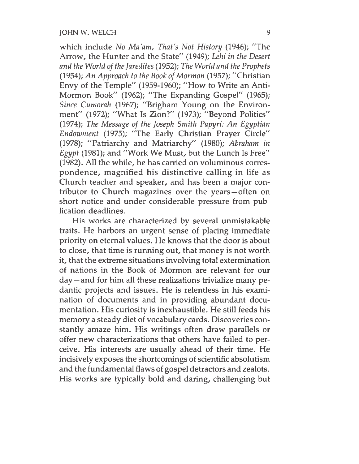which include *No Ma'am, That's Not History* (1946); "The Arrow, the Hunter and the State" (1949); *Lehi in the Desert and the World oftheJaredites* (1952); *The World and the Prophets* (1954); *An Approach to the Book ofMormon* (1957); "Christian Envy of the Temple" (1959-1960); "How to Write an Anti-Mormon Book" (1962); "The Expanding Gospel" (1965); *Since Cumorah* (1967); "Brigham Young on the Environment" (1972); "What Is Zion?" (1973); "Beyond Politics" (1974); *The Message of the Joseph Smith Papyri: An Egyptian Endowment* (1975); "The Early Christian Prayer Circle" (1978); "Patriarchy and Matriarchy" (1980); *Abraham in Egypt* (1981); and "Work We Must, but the Lunch Is Free" (1982). All the while, he has carried on voluminous correspondence, magnified his distinctive calling in life as Church teacher and speaker, and has been a major contributor to Church magazines over the years — often on short notice and under considerable pressure from publication deadlines.

His works are characterized by several unmistakable traits. He harbors an urgent sense of placing immediate priority on eternal values. He knows that the door is about to close, that time is running out, that money is not worth it, that the extreme situations involving total extermination of nations in the Book of Mormon are relevant for our day — and for him all these realizations trivialize many pedantic projects and issues. He is relentless in his examination of documents and in providing abundant documentation. His curiosity is inexhaustible. He still feeds his memory a steady diet of vocabulary cards. Discoveries constantly amaze him. His writings often draw parallels or offer new characterizations that others have failed to perceive. His interests are usually ahead of their time. He incisively exposes the shortcomings of scientific absolutism and the fundamental flaws of gospel detractors and zealots. His works are typically bold and daring, challenging but